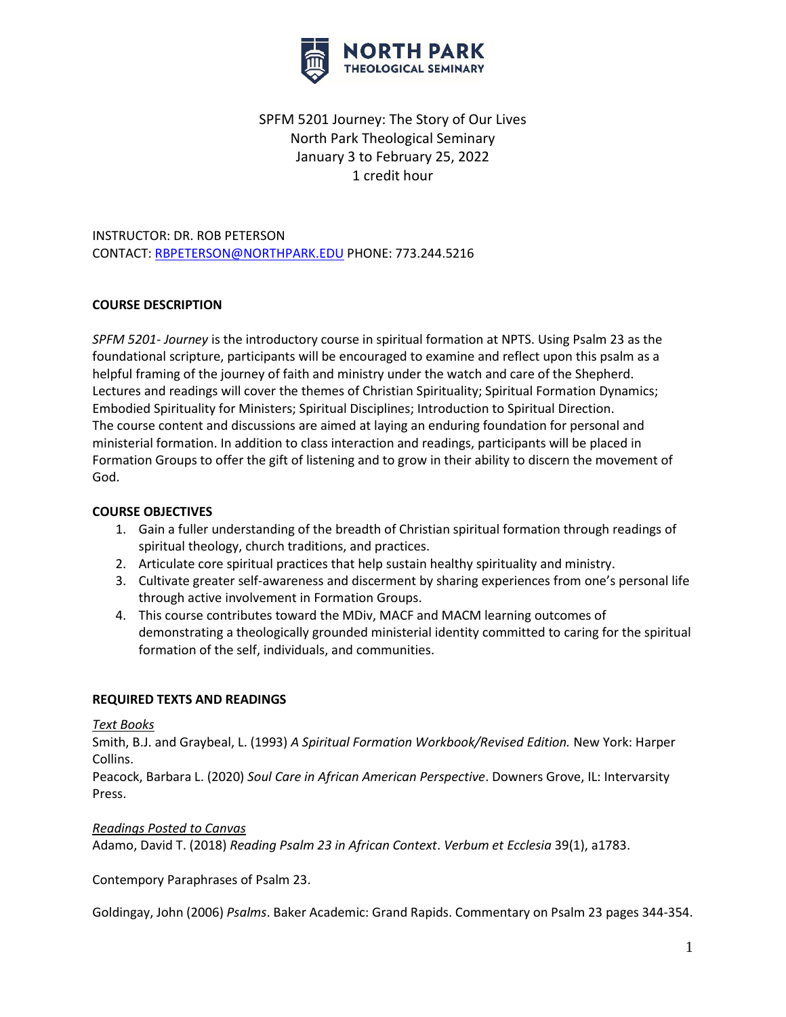

# SPFM 5201 Journey: The Story of Our Lives North Park Theological Seminary January 3 to February 25, 2022 1 credit hour

INSTRUCTOR: DR. ROB PETERSON CONTACT[: RBPETERSON@NORTHPARK.EDU](mailto:rbpeterson@northpark.edu) PHONE: 773.244.5216

## **COURSE DESCRIPTION**

*SPFM 5201- Journey* is the introductory course in spiritual formation at NPTS. Using Psalm 23 as the foundational scripture, participants will be encouraged to examine and reflect upon this psalm as a helpful framing of the journey of faith and ministry under the watch and care of the Shepherd. Lectures and readings will cover the themes of Christian Spirituality; Spiritual Formation Dynamics; Embodied Spirituality for Ministers; Spiritual Disciplines; Introduction to Spiritual Direction. The course content and discussions are aimed at laying an enduring foundation for personal and ministerial formation. In addition to class interaction and readings, participants will be placed in Formation Groups to offer the gift of listening and to grow in their ability to discern the movement of God.

#### **COURSE OBJECTIVES**

- 1. Gain a fuller understanding of the breadth of Christian spiritual formation through readings of spiritual theology, church traditions, and practices.
- 2. Articulate core spiritual practices that help sustain healthy spirituality and ministry.
- 3. Cultivate greater self-awareness and discerment by sharing experiences from one's personal life through active involvement in Formation Groups.
- 4. This course contributes toward the MDiv, MACF and MACM learning outcomes of demonstrating a theologically grounded ministerial identity committed to caring for the spiritual formation of the self, individuals, and communities.

## **REQUIRED TEXTS AND READINGS**

#### *Text Books*

Smith, B.J. and Graybeal, L. (1993) *A Spiritual Formation Workbook/Revised Edition.* New York: Harper Collins.

Peacock, Barbara L. (2020) *Soul Care in African American Perspective*. Downers Grove, IL: Intervarsity Press.

#### *Readings Posted to Canvas*

Adamo, David T. (2018) *Reading Psalm 23 in African Context*. *Verbum et Ecclesia* 39(1), a1783.

Contempory Paraphrases of Psalm 23.

Goldingay, John (2006) *Psalms*. Baker Academic: Grand Rapids. Commentary on Psalm 23 pages 344-354.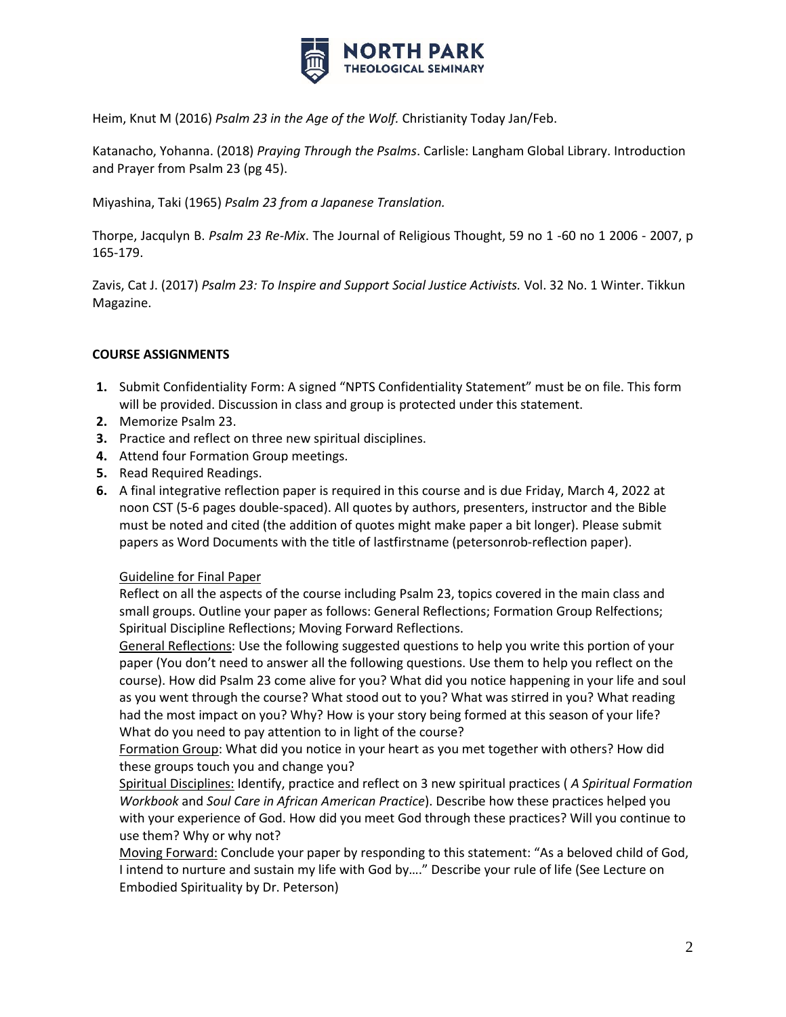

Heim, Knut M (2016) *Psalm 23 in the Age of the Wolf.* Christianity Today Jan/Feb.

Katanacho, Yohanna. (2018) *Praying Through the Psalms*. Carlisle: Langham Global Library. Introduction and Prayer from Psalm 23 (pg 45).

Miyashina, Taki (1965) *Psalm 23 from a Japanese Translation.*

Thorpe, Jacqulyn B. *Psalm 23 Re-Mix*. The Journal of Religious Thought, 59 no 1 -60 no 1 2006 - 2007, p 165-179.

Zavis, Cat J. (2017) *Psalm 23: To Inspire and Support Social Justice Activists.* Vol. 32 No. 1 Winter. Tikkun Magazine.

## **COURSE ASSIGNMENTS**

- **1.** Submit Confidentiality Form: A signed "NPTS Confidentiality Statement" must be on file. This form will be provided. Discussion in class and group is protected under this statement.
- **2.** Memorize Psalm 23.
- **3.** Practice and reflect on three new spiritual disciplines.
- **4.** Attend four Formation Group meetings.
- **5.** Read Required Readings.
- **6.** A final integrative reflection paper is required in this course and is due Friday, March 4, 2022 at noon CST (5-6 pages double-spaced). All quotes by authors, presenters, instructor and the Bible must be noted and cited (the addition of quotes might make paper a bit longer). Please submit papers as Word Documents with the title of lastfirstname (petersonrob-reflection paper).

## Guideline for Final Paper

Reflect on all the aspects of the course including Psalm 23, topics covered in the main class and small groups. Outline your paper as follows: General Reflections; Formation Group Relfections; Spiritual Discipline Reflections; Moving Forward Reflections.

General Reflections: Use the following suggested questions to help you write this portion of your paper (You don't need to answer all the following questions. Use them to help you reflect on the course). How did Psalm 23 come alive for you? What did you notice happening in your life and soul as you went through the course? What stood out to you? What was stirred in you? What reading had the most impact on you? Why? How is your story being formed at this season of your life? What do you need to pay attention to in light of the course?

Formation Group: What did you notice in your heart as you met together with others? How did these groups touch you and change you?

Spiritual Disciplines: Identify, practice and reflect on 3 new spiritual practices ( *A Spiritual Formation Workbook* and *Soul Care in African American Practice*). Describe how these practices helped you with your experience of God. How did you meet God through these practices? Will you continue to use them? Why or why not?

Moving Forward: Conclude your paper by responding to this statement: "As a beloved child of God, I intend to nurture and sustain my life with God by…." Describe your rule of life (See Lecture on Embodied Spirituality by Dr. Peterson)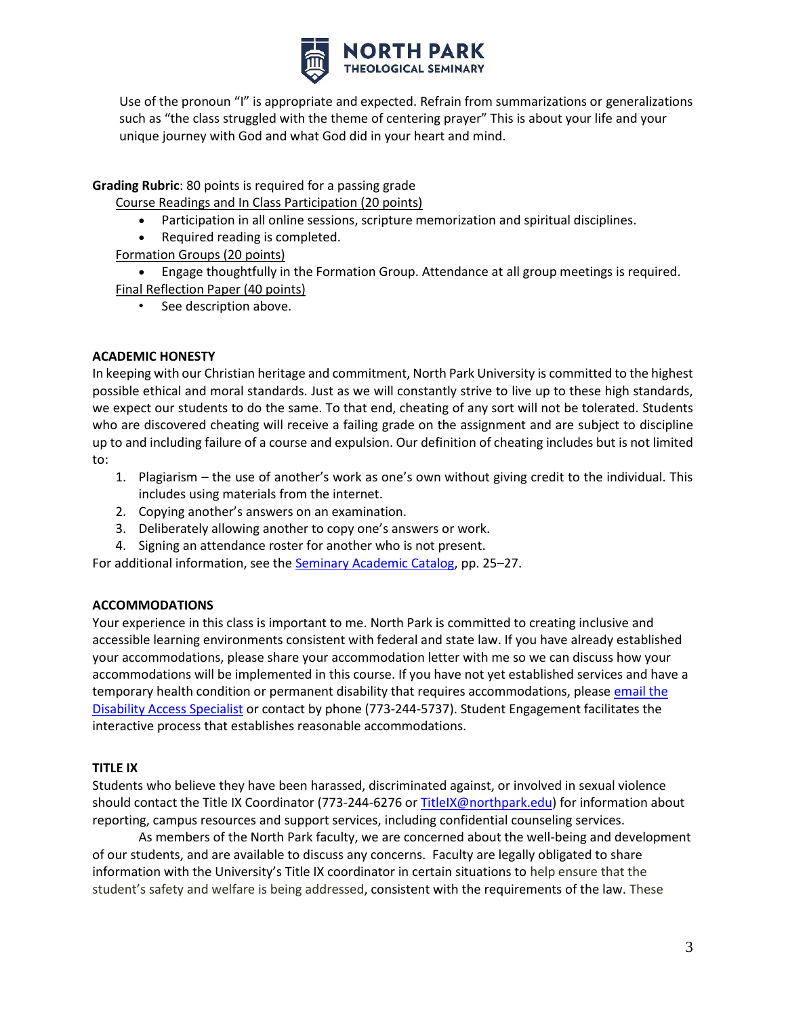

Use of the pronoun "I" is appropriate and expected. Refrain from summarizations or generalizations such as "the class struggled with the theme of centering prayer" This is about your life and your unique journey with God and what God did in your heart and mind.

## **Grading Rubric**: 80 points is required for a passing grade

Course Readings and In Class Participation (20 points)

- Participation in all online sessions, scripture memorization and spiritual disciplines.
- Required reading is completed.

Formation Groups (20 points)

• Engage thoughtfully in the Formation Group. Attendance at all group meetings is required. Final Reflection Paper (40 points)

• See description above.

## **ACADEMIC HONESTY**

In keeping with our Christian heritage and commitment, North Park University is committed to the highest possible ethical and moral standards. Just as we will constantly strive to live up to these high standards, we expect our students to do the same. To that end, cheating of any sort will not be tolerated. Students who are discovered cheating will receive a failing grade on the assignment and are subject to discipline up to and including failure of a course and expulsion. Our definition of cheating includes but is not limited to:

- 1. Plagiarism the use of another's work as one's own without giving credit to the individual. This includes using materials from the internet.
- 2. Copying another's answers on an examination.
- 3. Deliberately allowing another to copy one's answers or work.
- 4. Signing an attendance roster for another who is not present.

For additional information, see the [Seminary Academic Catalog,](https://www.northpark.edu/seminary/academics/seminary-catalog) pp. 25–27.

## **ACCOMMODATIONS**

Your experience in this class is important to me. North Park is committed to creating inclusive and accessible learning environments consistent with federal and state law. If you have already established your accommodations, please share your accommodation letter with me so we can discuss how your accommodations will be implemented in this course. If you have not yet established services and have a temporary health condition or permanent disability that requires accommodations, please email the [Disability Access Specialist](mailto:ada@northpark.edu) or contact by phone (773-244-5737). Student Engagement facilitates the interactive process that establishes reasonable accommodations.

## **TITLE IX**

Students who believe they have been harassed, discriminated against, or involved in sexual violence should contact the Title IX Coordinator (773-244-6276 or [TitleIX@northpark.edu\)](mailto:TitleIX@northpark.edu) for information about reporting, campus resources and support services, including confidential counseling services.

As members of the North Park faculty, we are concerned about the well-being and development of our students, and are available to discuss any concerns. Faculty are legally obligated to share information with the University's Title IX coordinator in certain situations to help ensure that the student's safety and welfare is being addressed, consistent with the requirements of the law. These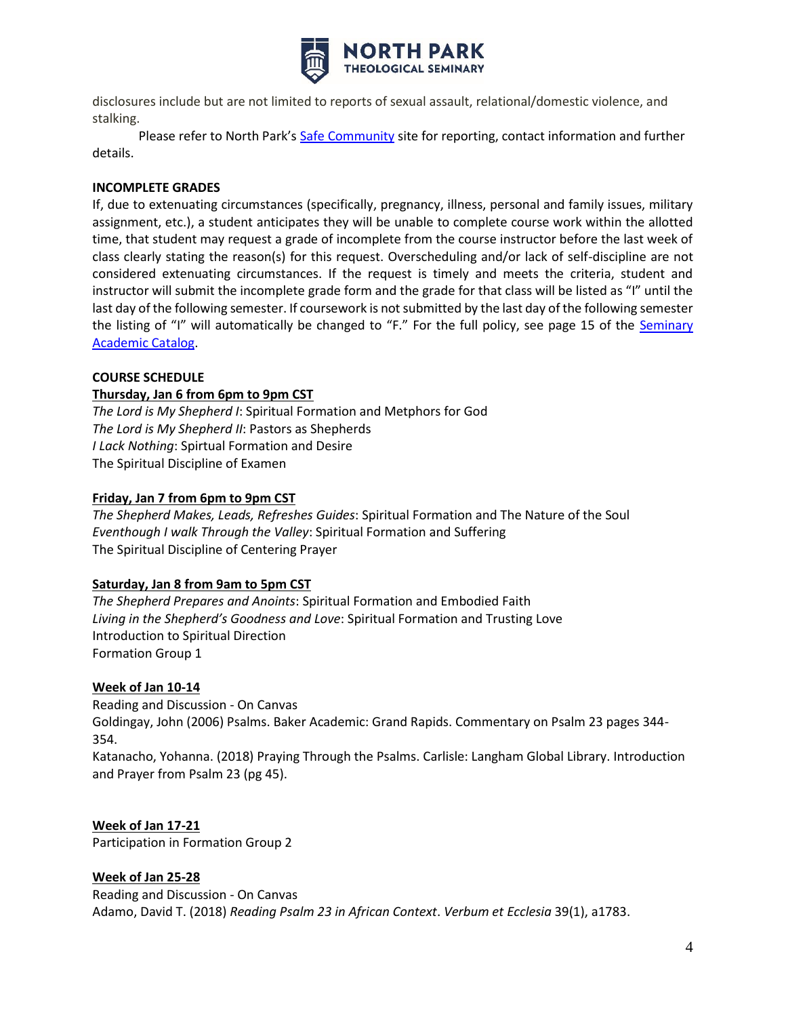

disclosures include but are not limited to reports of sexual assault, relational/domestic violence, and stalking.

Please refer to North Park's [Safe Community](https://www.northpark.edu/campus-life-and-services/campus-services/campus-safety-and-security/safe-community/) site for reporting, contact information and further details.

#### **INCOMPLETE GRADES**

If, due to extenuating circumstances (specifically, pregnancy, illness, personal and family issues, military assignment, etc.), a student anticipates they will be unable to complete course work within the allotted time, that student may request a grade of incomplete from the course instructor before the last week of class clearly stating the reason(s) for this request. Overscheduling and/or lack of self-discipline are not considered extenuating circumstances. If the request is timely and meets the criteria, student and instructor will submit the incomplete grade form and the grade for that class will be listed as "I" until the last day of the following semester. If coursework is not submitted by the last day of the following semester the listing of "I" will automatically be changed to "F." For the full policy, see page 15 of the Seminary [Academic Catalog.](https://www.northpark.edu/seminary/academics/seminary-catalog)

#### **COURSE SCHEDULE**

#### **Thursday, Jan 6 from 6pm to 9pm CST**

*The Lord is My Shepherd I*: Spiritual Formation and Metphors for God *The Lord is My Shepherd II*: Pastors as Shepherds *I Lack Nothing*: Spirtual Formation and Desire The Spiritual Discipline of Examen

#### **Friday, Jan 7 from 6pm to 9pm CST**

*The Shepherd Makes, Leads, Refreshes Guides*: Spiritual Formation and The Nature of the Soul *Eventhough I walk Through the Valley*: Spiritual Formation and Suffering The Spiritual Discipline of Centering Prayer

## **Saturday, Jan 8 from 9am to 5pm CST**

*The Shepherd Prepares and Anoints*: Spiritual Formation and Embodied Faith *Living in the Shepherd's Goodness and Love*: Spiritual Formation and Trusting Love Introduction to Spiritual Direction Formation Group 1

#### **Week of Jan 10-14**

Reading and Discussion - On Canvas Goldingay, John (2006) Psalms. Baker Academic: Grand Rapids. Commentary on Psalm 23 pages 344- 354.

Katanacho, Yohanna. (2018) Praying Through the Psalms. Carlisle: Langham Global Library. Introduction and Prayer from Psalm 23 (pg 45).

**Week of Jan 17-21** Participation in Formation Group 2

**Week of Jan 25-28** Reading and Discussion - On Canvas Adamo, David T. (2018) *Reading Psalm 23 in African Context*. *Verbum et Ecclesia* 39(1), a1783.